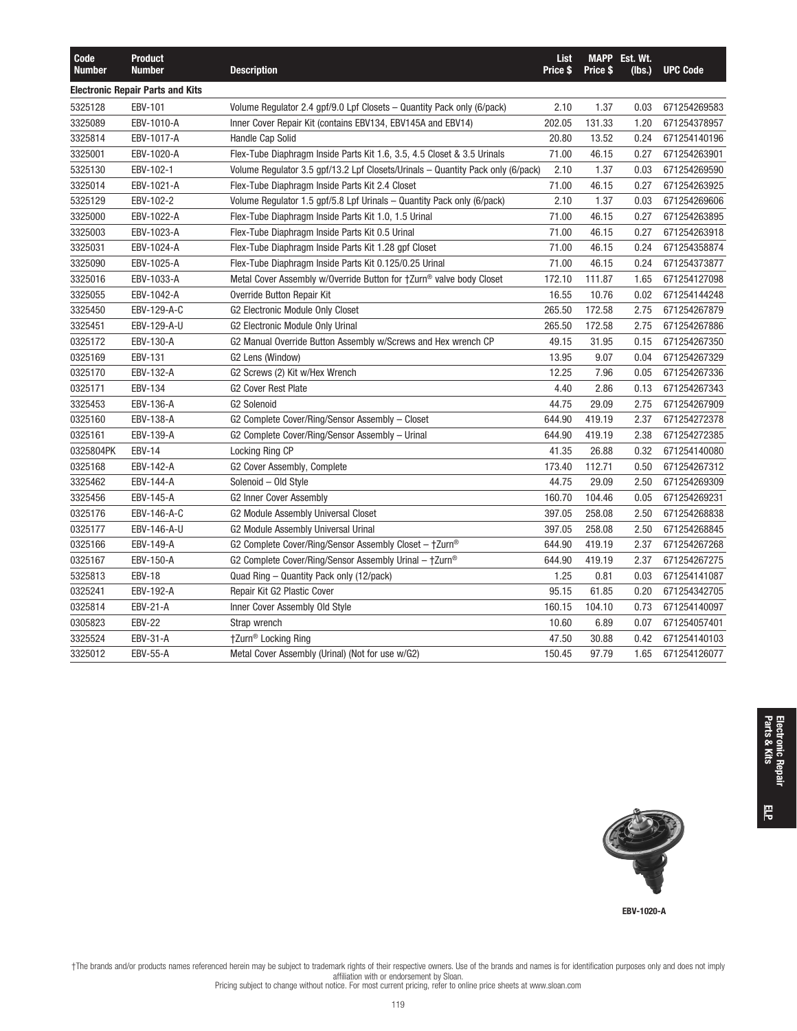| Code<br><b>Number</b> | <b>Product</b><br><b>Number</b>         | <b>Description</b>                                                              | List<br>Price \$ | <b>Price S</b> | <b>MAPP</b> Est. Wt.<br>(lbs.) | <b>UPC Code</b> |
|-----------------------|-----------------------------------------|---------------------------------------------------------------------------------|------------------|----------------|--------------------------------|-----------------|
|                       | <b>Electronic Repair Parts and Kits</b> |                                                                                 |                  |                |                                |                 |
| 5325128               | EBV-101                                 | Volume Regulator 2.4 gpf/9.0 Lpf Closets - Quantity Pack only (6/pack)          | 2.10             | 1.37           | 0.03                           | 671254269583    |
| 3325089               | EBV-1010-A                              | Inner Cover Repair Kit (contains EBV134, EBV145A and EBV14)                     | 202.05           | 131.33         | 1.20                           | 671254378957    |
| 3325814               | EBV-1017-A                              | Handle Cap Solid                                                                | 20.80            | 13.52          | 0.24                           | 671254140196    |
| 3325001               | EBV-1020-A                              | Flex-Tube Diaphragm Inside Parts Kit 1.6, 3.5, 4.5 Closet & 3.5 Urinals         | 71.00            | 46.15          | 0.27                           | 671254263901    |
| 5325130               | EBV-102-1                               | Volume Regulator 3.5 gpf/13.2 Lpf Closets/Urinals - Quantity Pack only (6/pack) | 2.10             | 1.37           | 0.03                           | 671254269590    |
| 3325014               | EBV-1021-A                              | Flex-Tube Diaphragm Inside Parts Kit 2.4 Closet                                 | 71.00            | 46.15          | 0.27                           | 671254263925    |
| 5325129               | EBV-102-2                               | Volume Regulator 1.5 gpf/5.8 Lpf Urinals - Quantity Pack only (6/pack)          | 2.10             | 1.37           | 0.03                           | 671254269606    |
| 3325000               | EBV-1022-A                              | Flex-Tube Diaphragm Inside Parts Kit 1.0, 1.5 Urinal                            | 71.00            | 46.15          | 0.27                           | 671254263895    |
| 3325003               | EBV-1023-A                              | Flex-Tube Diaphragm Inside Parts Kit 0.5 Urinal                                 | 71.00            | 46.15          | 0.27                           | 671254263918    |
| 3325031               | EBV-1024-A                              | Flex-Tube Diaphragm Inside Parts Kit 1.28 gpf Closet                            | 71.00            | 46.15          | 0.24                           | 671254358874    |
| 3325090               | EBV-1025-A                              | Flex-Tube Diaphragm Inside Parts Kit 0.125/0.25 Urinal                          | 71.00            | 46.15          | 0.24                           | 671254373877    |
| 3325016               | EBV-1033-A                              | Metal Cover Assembly w/Override Button for †Zurn <sup>®</sup> valve body Closet | 172.10           | 111.87         | 1.65                           | 671254127098    |
| 3325055               | EBV-1042-A                              | Override Button Repair Kit                                                      | 16.55            | 10.76          | 0.02                           | 671254144248    |
| 3325450               | EBV-129-A-C                             | G2 Electronic Module Only Closet                                                | 265.50           | 172.58         | 2.75                           | 671254267879    |
| 3325451               | EBV-129-A-U                             | G2 Electronic Module Only Urinal                                                | 265.50           | 172.58         | 2.75                           | 671254267886    |
| 0325172               | EBV-130-A                               | G2 Manual Override Button Assembly w/Screws and Hex wrench CP                   | 49.15            | 31.95          | 0.15                           | 671254267350    |
| 0325169               | EBV-131                                 | G2 Lens (Window)                                                                | 13.95            | 9.07           | 0.04                           | 671254267329    |
| 0325170               | EBV-132-A                               | G2 Screws (2) Kit w/Hex Wrench                                                  | 12.25            | 7.96           | 0.05                           | 671254267336    |
| 0325171               | EBV-134                                 | <b>G2 Cover Rest Plate</b>                                                      | 4.40             | 2.86           | 0.13                           | 671254267343    |
| 3325453               | EBV-136-A                               | <b>G2 Solenoid</b>                                                              | 44.75            | 29.09          | 2.75                           | 671254267909    |
| 0325160               | EBV-138-A                               | G2 Complete Cover/Ring/Sensor Assembly - Closet                                 | 644.90           | 419.19         | 2.37                           | 671254272378    |
| 0325161               | EBV-139-A                               | G2 Complete Cover/Ring/Sensor Assembly - Urinal                                 | 644.90           | 419.19         | 2.38                           | 671254272385    |
| 0325804PK             | <b>EBV-14</b>                           | Locking Ring CP                                                                 | 41.35            | 26.88          | 0.32                           | 671254140080    |
| 0325168               | EBV-142-A                               | G2 Cover Assembly, Complete                                                     | 173.40           | 112.71         | 0.50                           | 671254267312    |
| 3325462               | EBV-144-A                               | Solenoid - Old Style                                                            | 44.75            | 29.09          | 2.50                           | 671254269309    |
| 3325456               | EBV-145-A                               | <b>G2 Inner Cover Assembly</b>                                                  | 160.70           | 104.46         | 0.05                           | 671254269231    |
| 0325176               | EBV-146-A-C                             | G2 Module Assembly Universal Closet                                             | 397.05           | 258.08         | 2.50                           | 671254268838    |
| 0325177               | EBV-146-A-U                             | G2 Module Assembly Universal Urinal                                             | 397.05           | 258.08         | 2.50                           | 671254268845    |
| 0325166               | EBV-149-A                               | G2 Complete Cover/Ring/Sensor Assembly Closet - †Zurn®                          | 644.90           | 419.19         | 2.37                           | 671254267268    |
| 0325167               | EBV-150-A                               | G2 Complete Cover/Ring/Sensor Assembly Urinal $-$ †Zurn®                        | 644.90           | 419.19         | 2.37                           | 671254267275    |
| 5325813               | <b>EBV-18</b>                           | Quad Ring – Quantity Pack only (12/pack)                                        | 1.25             | 0.81           | 0.03                           | 671254141087    |
| 0325241               | EBV-192-A                               | Repair Kit G2 Plastic Cover                                                     | 95.15            | 61.85          | 0.20                           | 671254342705    |
| 0325814               | <b>EBV-21-A</b>                         | Inner Cover Assembly Old Style                                                  | 160.15           | 104.10         | 0.73                           | 671254140097    |
| 0305823               | <b>EBV-22</b>                           | Strap wrench                                                                    | 10.60            | 6.89           | 0.07                           | 671254057401    |
| 3325524               | EBV-31-A                                | †Zurn <sup>®</sup> Locking Ring                                                 | 47.50            | 30.88          | 0.42                           | 671254140103    |
| 3325012               | <b>EBV-55-A</b>                         | Metal Cover Assembly (Urinal) (Not for use w/G2)                                | 150.45           | 97.79          | 1.65                           | 671254126077    |



 $\overline{\overline{5}}$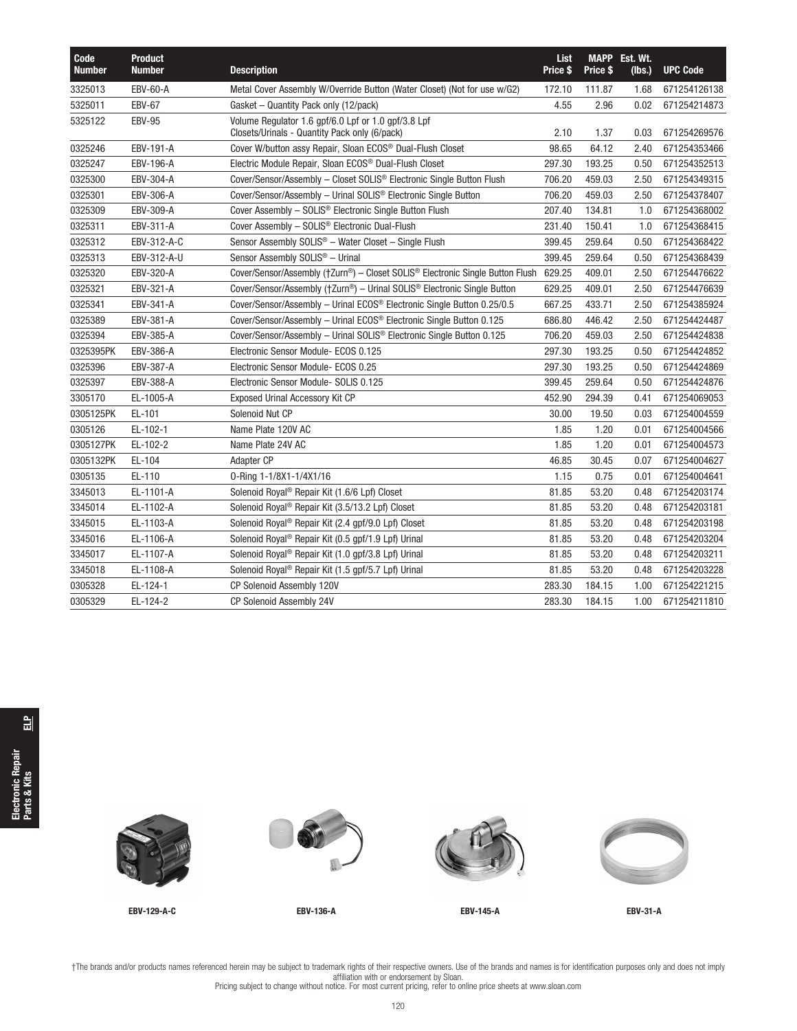| Code<br><b>Number</b> | <b>Product</b><br><b>Number</b> | <b>Description</b>                                                                                   | <b>List</b><br>Price \$ | Price \$ | MAPP Est. Wt.<br>(lbs.) | <b>UPC Code</b> |
|-----------------------|---------------------------------|------------------------------------------------------------------------------------------------------|-------------------------|----------|-------------------------|-----------------|
| 3325013               | <b>EBV-60-A</b>                 | Metal Cover Assembly W/Override Button (Water Closet) (Not for use w/G2)                             | 172.10                  | 111.87   | 1.68                    | 671254126138    |
| 5325011               | <b>EBV-67</b>                   | Gasket - Quantity Pack only (12/pack)                                                                | 4.55                    | 2.96     | 0.02                    | 671254214873    |
| 5325122               | <b>EBV-95</b>                   | Volume Regulator 1.6 gpf/6.0 Lpf or 1.0 gpf/3.8 Lpf<br>Closets/Urinals - Quantity Pack only (6/pack) | 2.10                    | 1.37     | 0.03                    | 671254269576    |
| 0325246               | EBV-191-A                       | Cover W/button assy Repair, Sloan ECOS <sup>®</sup> Dual-Flush Closet                                | 98.65                   | 64.12    | 2.40                    | 671254353466    |
| 0325247               | EBV-196-A                       | Electric Module Repair, Sloan ECOS <sup>®</sup> Dual-Flush Closet                                    | 297.30                  | 193.25   | 0.50                    | 671254352513    |
| 0325300               | EBV-304-A                       | Cover/Sensor/Assembly - Closet SOLIS® Electronic Single Button Flush                                 | 706.20                  | 459.03   | 2.50                    | 671254349315    |
| 0325301               | EBV-306-A                       | Cover/Sensor/Assembly - Urinal SOLIS <sup>®</sup> Electronic Single Button                           | 706.20                  | 459.03   | 2.50                    | 671254378407    |
| 0325309               | EBV-309-A                       | Cover Assembly - SOLIS® Electronic Single Button Flush                                               | 207.40                  | 134.81   | 1.0                     | 671254368002    |
| 0325311               | EBV-311-A                       | Cover Assembly - SOLIS <sup>®</sup> Electronic Dual-Flush                                            | 231.40                  | 150.41   | 1.0                     | 671254368415    |
| 0325312               | EBV-312-A-C                     | Sensor Assembly SOLIS <sup>®</sup> - Water Closet - Single Flush                                     | 399.45                  | 259.64   | 0.50                    | 671254368422    |
| 0325313               | EBV-312-A-U                     | Sensor Assembly SOLIS <sup>®</sup> - Urinal                                                          | 399.45                  | 259.64   | 0.50                    | 671254368439    |
| 0325320               | EBV-320-A                       | Cover/Sensor/Assembly (†Zurn®) – Closet SOLIS® Electronic Single Button Flush                        | 629.25                  | 409.01   | 2.50                    | 671254476622    |
| 0325321               | EBV-321-A                       | Cover/Sensor/Assembly (†Zurn®) – Urinal SOLIS® Electronic Single Button                              | 629.25                  | 409.01   | 2.50                    | 671254476639    |
| 0325341               | EBV-341-A                       | Cover/Sensor/Assembly - Urinal ECOS® Electronic Single Button 0.25/0.5                               | 667.25                  | 433.71   | 2.50                    | 671254385924    |
| 0325389               | EBV-381-A                       | Cover/Sensor/Assembly - Urinal ECOS® Electronic Single Button 0.125                                  | 686.80                  | 446.42   | 2.50                    | 671254424487    |
| 0325394               | EBV-385-A                       | Cover/Sensor/Assembly - Urinal SOLIS <sup>®</sup> Electronic Single Button 0.125                     | 706.20                  | 459.03   | 2.50                    | 671254424838    |
| 0325395PK             | EBV-386-A                       | Electronic Sensor Module- ECOS 0.125                                                                 | 297.30                  | 193.25   | 0.50                    | 671254424852    |
| 0325396               | EBV-387-A                       | Electronic Sensor Module- ECOS 0.25                                                                  | 297.30                  | 193.25   | 0.50                    | 671254424869    |
| 0325397               | EBV-388-A                       | Electronic Sensor Module- SOLIS 0.125                                                                | 399.45                  | 259.64   | 0.50                    | 671254424876    |
| 3305170               | EL-1005-A                       | <b>Exposed Urinal Accessory Kit CP</b>                                                               | 452.90                  | 294.39   | 0.41                    | 671254069053    |
| 0305125PK             | EL-101                          | Solenoid Nut CP                                                                                      | 30.00                   | 19.50    | 0.03                    | 671254004559    |
| 0305126               | EL-102-1                        | Name Plate 120V AC                                                                                   | 1.85                    | 1.20     | 0.01                    | 671254004566    |
| 0305127PK             | EL-102-2                        | Name Plate 24V AC                                                                                    | 1.85                    | 1.20     | 0.01                    | 671254004573    |
| 0305132PK             | EL-104                          | Adapter CP                                                                                           | 46.85                   | 30.45    | 0.07                    | 671254004627    |
| 0305135               | EL-110                          | 0-Ring 1-1/8X1-1/4X1/16                                                                              | 1.15                    | 0.75     | 0.01                    | 671254004641    |
| 3345013               | EL-1101-A                       | Solenoid Royal <sup>®</sup> Repair Kit (1.6/6 Lpf) Closet                                            | 81.85                   | 53.20    | 0.48                    | 671254203174    |
| 3345014               | EL-1102-A                       | Solenoid Royal <sup>®</sup> Repair Kit (3.5/13.2 Lpf) Closet                                         | 81.85                   | 53.20    | 0.48                    | 671254203181    |
| 3345015               | EL-1103-A                       | Solenoid Royal <sup>®</sup> Repair Kit (2.4 gpf/9.0 Lpf) Closet                                      | 81.85                   | 53.20    | 0.48                    | 671254203198    |
| 3345016               | EL-1106-A                       | Solenoid Royal <sup>®</sup> Repair Kit (0.5 gpf/1.9 Lpf) Urinal                                      | 81.85                   | 53.20    | 0.48                    | 671254203204    |
| 3345017               | EL-1107-A                       | Solenoid Royal <sup>®</sup> Repair Kit (1.0 gpf/3.8 Lpf) Urinal                                      | 81.85                   | 53.20    | 0.48                    | 671254203211    |
| 3345018               | EL-1108-A                       | Solenoid Royal <sup>®</sup> Repair Kit (1.5 gpf/5.7 Lpf) Urinal                                      | 81.85                   | 53.20    | 0.48                    | 671254203228    |
| 0305328               | EL-124-1                        | CP Solenoid Assembly 120V                                                                            | 283.30                  | 184.15   | 1.00                    | 671254221215    |
| 0305329               | EL-124-2                        | CP Solenoid Assembly 24V                                                                             | 283.30                  | 184.15   | 1.00                    | 671254211810    |
|                       |                                 |                                                                                                      |                         |          |                         |                 |

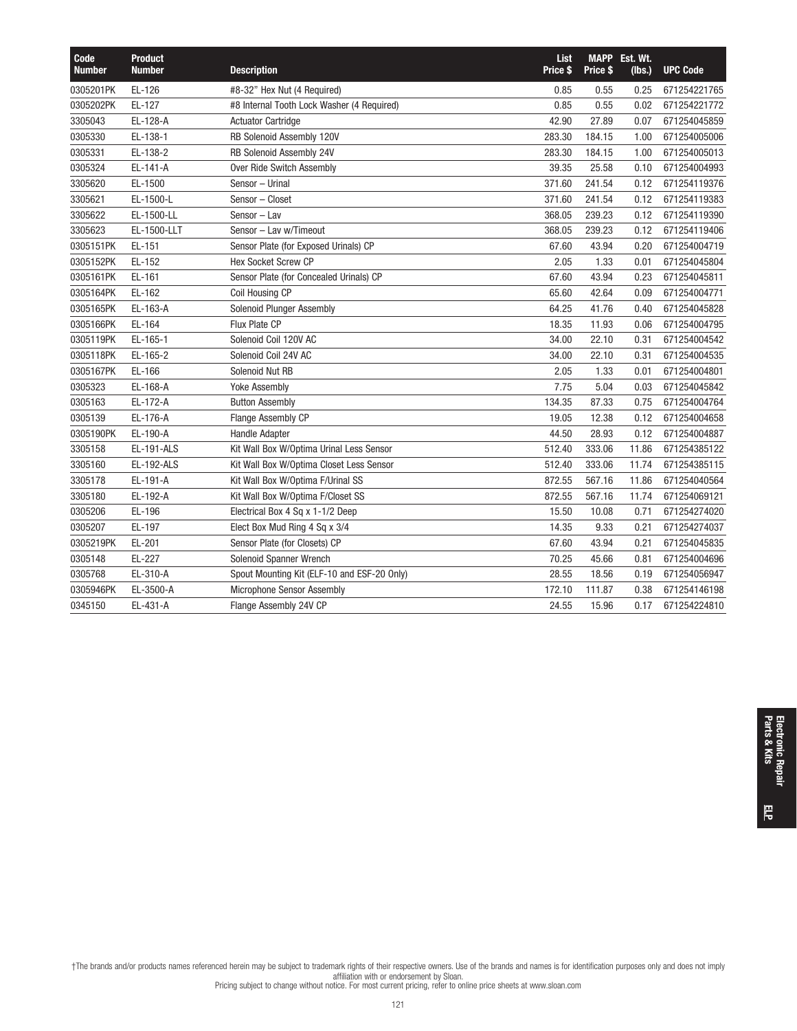| Code<br><b>Number</b> | <b>Product</b><br><b>Number</b> | <b>Description</b>                          | List<br>Price \$ | Price \$ | <b>MAPP</b> Est. Wt.<br>(lbs.) | <b>UPC Code</b> |
|-----------------------|---------------------------------|---------------------------------------------|------------------|----------|--------------------------------|-----------------|
| 0305201PK             | EL-126                          | #8-32" Hex Nut (4 Required)                 | 0.85             | 0.55     | 0.25                           | 671254221765    |
| 0305202PK             | EL-127                          | #8 Internal Tooth Lock Washer (4 Required)  | 0.85             | 0.55     | 0.02                           | 671254221772    |
| 3305043               | EL-128-A                        | <b>Actuator Cartridge</b>                   | 42.90            | 27.89    | 0.07                           | 671254045859    |
| 0305330               | EL-138-1                        | RB Solenoid Assembly 120V                   | 283.30           | 184.15   | 1.00                           | 671254005006    |
| 0305331               | EL-138-2                        | RB Solenoid Assembly 24V                    | 283.30           | 184.15   | 1.00                           | 671254005013    |
| 0305324               | EL-141-A                        | Over Ride Switch Assembly                   | 39.35            | 25.58    | 0.10                           | 671254004993    |
| 3305620               | EL-1500                         | Sensor - Urinal                             | 371.60           | 241.54   | 0.12                           | 671254119376    |
| 3305621               | EL-1500-L                       | Sensor - Closet                             | 371.60           | 241.54   | 0.12                           | 671254119383    |
| 3305622               | EL-1500-LL                      | Sensor - Lav                                | 368.05           | 239.23   | 0.12                           | 671254119390    |
| 3305623               | EL-1500-LLT                     | Sensor - Lav w/Timeout                      | 368.05           | 239.23   | 0.12                           | 671254119406    |
| 0305151PK             | EL-151                          | Sensor Plate (for Exposed Urinals) CP       | 67.60            | 43.94    | 0.20                           | 671254004719    |
| 0305152PK             | EL-152                          | <b>Hex Socket Screw CP</b>                  | 2.05             | 1.33     | 0.01                           | 671254045804    |
| 0305161PK             | EL-161                          | Sensor Plate (for Concealed Urinals) CP     | 67.60            | 43.94    | 0.23                           | 671254045811    |
| 0305164PK             | EL-162                          | Coil Housing CP                             | 65.60            | 42.64    | 0.09                           | 671254004771    |
| 0305165PK             | EL-163-A                        | Solenoid Plunger Assembly                   | 64.25            | 41.76    | 0.40                           | 671254045828    |
| 0305166PK             | EL-164                          | Flux Plate CP                               | 18.35            | 11.93    | 0.06                           | 671254004795    |
| 0305119PK             | EL-165-1                        | Solenoid Coil 120V AC                       | 34.00            | 22.10    | 0.31                           | 671254004542    |
| 0305118PK             | EL-165-2                        | Solenoid Coil 24V AC                        | 34.00            | 22.10    | 0.31                           | 671254004535    |
| 0305167PK             | EL-166                          | Solenoid Nut RB                             | 2.05             | 1.33     | 0.01                           | 671254004801    |
| 0305323               | EL-168-A                        | <b>Yoke Assembly</b>                        | 7.75             | 5.04     | 0.03                           | 671254045842    |
| 0305163               | EL-172-A                        | <b>Button Assembly</b>                      | 134.35           | 87.33    | 0.75                           | 671254004764    |
| 0305139               | EL-176-A                        | Flange Assembly CP                          | 19.05            | 12.38    | 0.12                           | 671254004658    |
| 0305190PK             | EL-190-A                        | <b>Handle Adapter</b>                       | 44.50            | 28.93    | 0.12                           | 671254004887    |
| 3305158               | EL-191-ALS                      | Kit Wall Box W/Optima Urinal Less Sensor    | 512.40           | 333.06   | 11.86                          | 671254385122    |
| 3305160               | EL-192-ALS                      | Kit Wall Box W/Optima Closet Less Sensor    | 512.40           | 333.06   | 11.74                          | 671254385115    |
| 3305178               | EL-191-A                        | Kit Wall Box W/Optima F/Urinal SS           | 872.55           | 567.16   | 11.86                          | 671254040564    |
| 3305180               | EL-192-A                        | Kit Wall Box W/Optima F/Closet SS           | 872.55           | 567.16   | 11.74                          | 671254069121    |
| 0305206               | EL-196                          | Electrical Box 4 Sq x 1-1/2 Deep            | 15.50            | 10.08    | 0.71                           | 671254274020    |
| 0305207               | EL-197                          | Elect Box Mud Ring 4 Sq x 3/4               | 14.35            | 9.33     | 0.21                           | 671254274037    |
| 0305219PK             | EL-201                          | Sensor Plate (for Closets) CP               | 67.60            | 43.94    | 0.21                           | 671254045835    |
| 0305148               | EL-227                          | Solenoid Spanner Wrench                     | 70.25            | 45.66    | 0.81                           | 671254004696    |
| 0305768               | EL-310-A                        | Spout Mounting Kit (ELF-10 and ESF-20 Only) | 28.55            | 18.56    | 0.19                           | 671254056947    |
| 0305946PK             | EL-3500-A                       | Microphone Sensor Assembly                  | 172.10           | 111.87   | 0.38                           | 671254146198    |
| 0345150               | EL-431-A                        | Flange Assembly 24V CP                      | 24.55            | 15.96    | 0.17                           | 671254224810    |